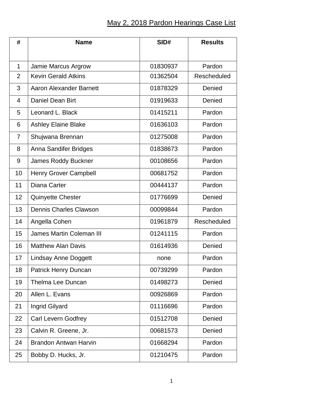## May 2, 2018 Pardon Hearings Case List

| #              | <b>Name</b>                     | SID#     | <b>Results</b> |
|----------------|---------------------------------|----------|----------------|
|                |                                 |          |                |
| 1              | Jamie Marcus Argrow             | 01830937 | Pardon         |
| $\overline{2}$ | <b>Kevin Gerald Atkins</b>      | 01362504 | Rescheduled    |
| 3              | <b>Aaron Alexander Barnett</b>  | 01878329 | Denied         |
| $\overline{4}$ | Daniel Dean Birt                | 01919633 | Denied         |
| 5              | Leonard L. Black                | 01415211 | Pardon         |
| 6              | <b>Ashley Elaine Blake</b>      | 01636103 | Pardon         |
| 7              | Shujwana Brennan                | 01275008 | Pardon         |
| 8              | Anna Sandifer Bridges           | 01838673 | Pardon         |
| 9              | <b>James Roddy Buckner</b>      | 00108656 | Pardon         |
| 10             | Henry Grover Campbell           | 00681752 | Pardon         |
| 11             | Diana Carter                    | 00444137 | Pardon         |
| 12             | <b>Quinyette Chester</b>        | 01776699 | Denied         |
| 13             | <b>Dennis Charles Clawson</b>   | 00099844 | Pardon         |
| 14             | Angella Cohen                   | 01961879 | Rescheduled    |
| 15             | <b>James Martin Coleman III</b> | 01241115 | Pardon         |
| 16             | <b>Matthew Alan Davis</b>       | 01614936 | Denied         |
| 17             | <b>Lindsay Anne Doggett</b>     | none     | Pardon         |
| 18             | Patrick Henry Duncan            | 00739299 | Pardon         |
| 19             | <b>Thelma Lee Duncan</b>        | 01498273 | Denied         |
| 20             | Allen L. Evans                  | 00926869 | Pardon         |
| 21             | Ingrid Gilyard                  | 01116696 | Pardon         |
| 22             | <b>Carl Levern Godfrey</b>      | 01512708 | Denied         |
| 23             | Calvin R. Greene, Jr.           | 00681573 | Denied         |
| 24             | <b>Brandon Antwan Harvin</b>    | 01668294 | Pardon         |
| 25             | Bobby D. Hucks, Jr.             | 01210475 | Pardon         |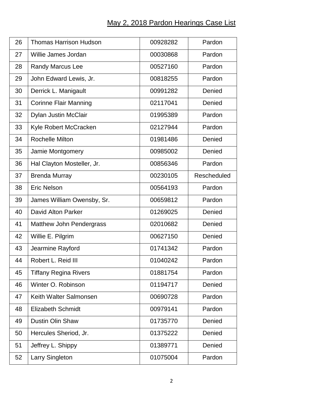## May 2, 2018 Pardon Hearings Case List

| 26 | <b>Thomas Harrison Hudson</b>   | 00928282 | Pardon      |
|----|---------------------------------|----------|-------------|
| 27 | Willie James Jordan             | 00030868 | Pardon      |
| 28 | Randy Marcus Lee                | 00527160 | Pardon      |
| 29 | John Edward Lewis, Jr.          | 00818255 | Pardon      |
| 30 | Derrick L. Manigault            | 00991282 | Denied      |
| 31 | <b>Corinne Flair Manning</b>    | 02117041 | Denied      |
| 32 | Dylan Justin McClair            | 01995389 | Pardon      |
| 33 | Kyle Robert McCracken           | 02127944 | Pardon      |
| 34 | <b>Rochelle Milton</b>          | 01981486 | Denied      |
| 35 | Jamie Montgomery                | 00985002 | Denied      |
| 36 | Hal Clayton Mosteller, Jr.      | 00856346 | Pardon      |
| 37 | <b>Brenda Murray</b>            | 00230105 | Rescheduled |
| 38 | <b>Eric Nelson</b>              | 00564193 | Pardon      |
| 39 | James William Owensby, Sr.      | 00659812 | Pardon      |
| 40 | <b>David Alton Parker</b>       | 01269025 | Denied      |
| 41 | <b>Matthew John Pendergrass</b> | 02010682 | Denied      |
| 42 | Willie E. Pilgrim               | 00627150 | Denied      |
| 43 | Jearmine Rayford                | 01741342 | Pardon      |
| 44 | Robert L. Reid III              | 01040242 | Pardon      |
| 45 | <b>Tiffany Regina Rivers</b>    | 01881754 | Pardon      |
| 46 | Winter O. Robinson              | 01194717 | Denied      |
| 47 | Keith Walter Salmonsen          | 00690728 | Pardon      |
| 48 | <b>Elizabeth Schmidt</b>        | 00979141 | Pardon      |
| 49 | <b>Dustin Olin Shaw</b>         | 01735770 | Denied      |
| 50 | Hercules Sheriod, Jr.           | 01375222 | Denied      |
| 51 | Jeffrey L. Shippy               | 01389771 | Denied      |
| 52 | Larry Singleton                 | 01075004 | Pardon      |